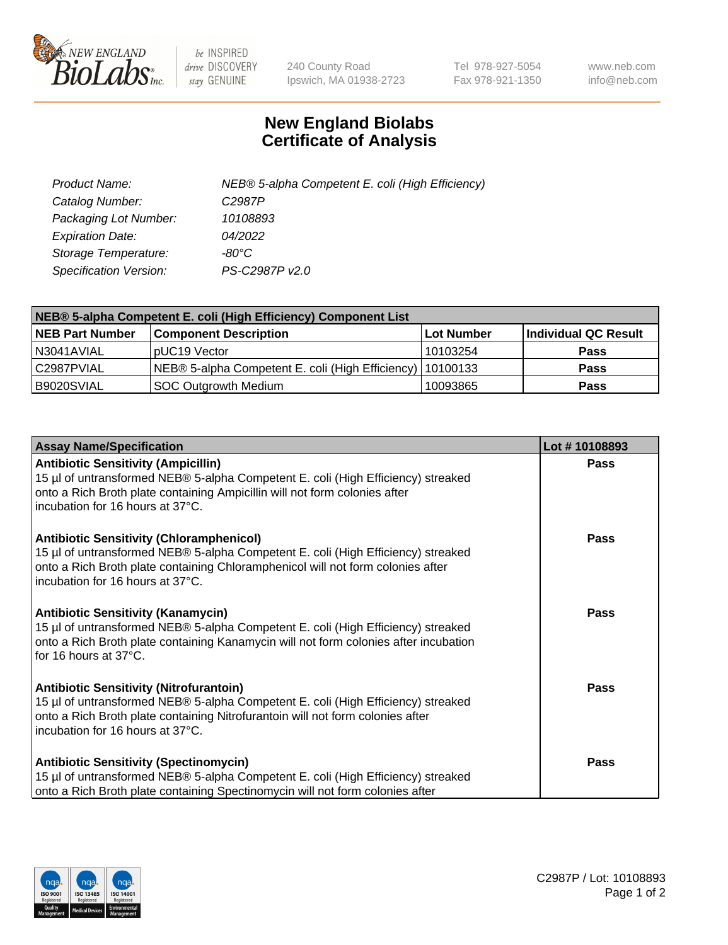

 $be$  INSPIRED drive DISCOVERY stay GENUINE

240 County Road Ipswich, MA 01938-2723 Tel 978-927-5054 Fax 978-921-1350 www.neb.com info@neb.com

## **New England Biolabs Certificate of Analysis**

| Product Name:           | NEB® 5-alpha Competent E. coli (High Efficiency) |
|-------------------------|--------------------------------------------------|
| Catalog Number:         | C <sub>2987</sub> P                              |
| Packaging Lot Number:   | 10108893                                         |
| <b>Expiration Date:</b> | 04/2022                                          |
| Storage Temperature:    | -80°C                                            |
| Specification Version:  | PS-C2987P v2.0                                   |

| NEB® 5-alpha Competent E. coli (High Efficiency) Component List |                                                             |            |                      |  |
|-----------------------------------------------------------------|-------------------------------------------------------------|------------|----------------------|--|
| <b>NEB Part Number</b>                                          | <b>Component Description</b>                                | Lot Number | Individual QC Result |  |
| N3041AVIAL                                                      | pUC19 Vector                                                | 10103254   | <b>Pass</b>          |  |
| C2987PVIAL                                                      | NEB® 5-alpha Competent E. coli (High Efficiency)   10100133 |            | <b>Pass</b>          |  |
| B9020SVIAL                                                      | <b>SOC Outgrowth Medium</b>                                 | 10093865   | <b>Pass</b>          |  |

| <b>Assay Name/Specification</b>                                                                                                                                                                                                                            | Lot #10108893 |
|------------------------------------------------------------------------------------------------------------------------------------------------------------------------------------------------------------------------------------------------------------|---------------|
| <b>Antibiotic Sensitivity (Ampicillin)</b><br>15 µl of untransformed NEB® 5-alpha Competent E. coli (High Efficiency) streaked<br>onto a Rich Broth plate containing Ampicillin will not form colonies after<br>incubation for 16 hours at 37°C.           | <b>Pass</b>   |
| <b>Antibiotic Sensitivity (Chloramphenicol)</b><br>15 µl of untransformed NEB® 5-alpha Competent E. coli (High Efficiency) streaked<br>onto a Rich Broth plate containing Chloramphenicol will not form colonies after<br>incubation for 16 hours at 37°C. | Pass          |
| Antibiotic Sensitivity (Kanamycin)<br>15 µl of untransformed NEB® 5-alpha Competent E. coli (High Efficiency) streaked<br>onto a Rich Broth plate containing Kanamycin will not form colonies after incubation<br>for 16 hours at 37°C.                    | Pass          |
| <b>Antibiotic Sensitivity (Nitrofurantoin)</b><br>15 µl of untransformed NEB® 5-alpha Competent E. coli (High Efficiency) streaked<br>onto a Rich Broth plate containing Nitrofurantoin will not form colonies after<br>incubation for 16 hours at 37°C.   | <b>Pass</b>   |
| <b>Antibiotic Sensitivity (Spectinomycin)</b><br>15 µl of untransformed NEB® 5-alpha Competent E. coli (High Efficiency) streaked<br>onto a Rich Broth plate containing Spectinomycin will not form colonies after                                         | Pass          |